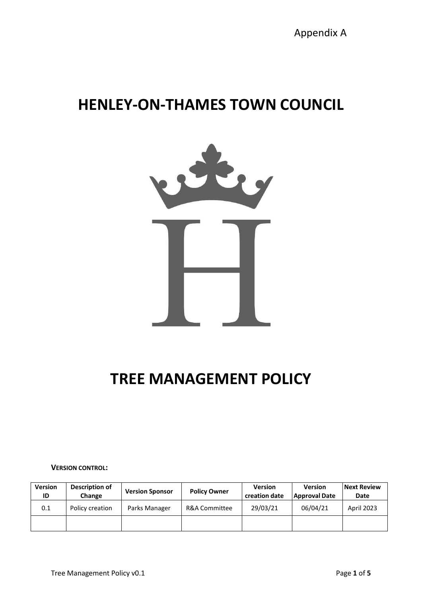# **HENLEY-ON-THAMES TOWN COUNCIL**



# **TREE MANAGEMENT POLICY**

**VERSION CONTROL:**

| <b>Version</b><br>ID | Description of<br>Change | <b>Version Sponsor</b> | <b>Policy Owner</b> | <b>Version</b><br>creation date | <b>Version</b><br>  Approval Date | <b>Next Review</b><br>Date |
|----------------------|--------------------------|------------------------|---------------------|---------------------------------|-----------------------------------|----------------------------|
| 0.1                  | Policy creation          | Parks Manager          | R&A Committee       | 29/03/21                        | 06/04/21                          | April 2023                 |
|                      |                          |                        |                     |                                 |                                   |                            |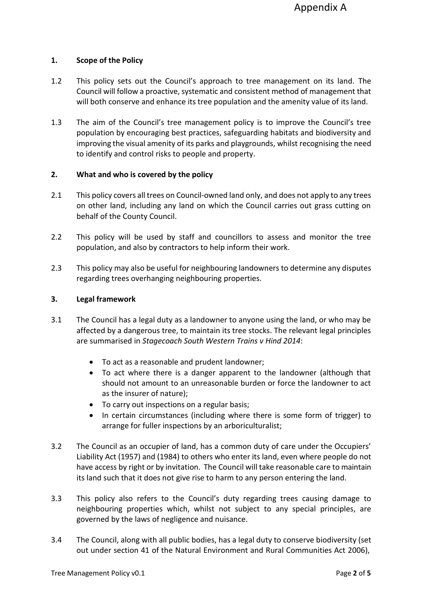# **1. Scope of the Policy**

- 1.2 This policy sets out the Council's approach to tree management on its land. The Council will follow a proactive, systematic and consistent method of management that will both conserve and enhance its tree population and the amenity value of its land.
- 1.3 The aim of the Council's tree management policy is to improve the Council's tree population by encouraging best practices, safeguarding habitats and biodiversity and improving the visual amenity of its parks and playgrounds, whilst recognising the need to identify and control risks to people and property.

# **2. What and who is covered by the policy**

- 2.1 This policy covers all trees on Council-owned land only, and does not apply to any trees on other land, including any land on which the Council carries out grass cutting on behalf of the County Council.
- 2.2 This policy will be used by staff and councillors to assess and monitor the tree population, and also by contractors to help inform their work.
- 2.3 This policy may also be useful for neighbouring landowners to determine any disputes regarding trees overhanging neighbouring properties.

# **3. Legal framework**

- 3.1 The Council has a legal duty as a landowner to anyone using the land, or who may be affected by a dangerous tree, to maintain its tree stocks. The relevant legal principles are summarised in *Stagecoach South Western Trains v Hind 2014*:
	- To act as a reasonable and prudent landowner;
	- To act where there is a danger apparent to the landowner (although that should not amount to an unreasonable burden or force the landowner to act as the insurer of nature);
	- To carry out inspections on a regular basis;
	- In certain circumstances (including where there is some form of trigger) to arrange for fuller inspections by an arboriculturalist;
- 3.2 The Council as an occupier of land, has a common duty of care under the Occupiers' Liability Act (1957) and (1984) to others who enter its land, even where people do not have access by right or by invitation. The Council will take reasonable care to maintain its land such that it does not give rise to harm to any person entering the land.
- 3.3 This policy also refers to the Council's duty regarding trees causing damage to neighbouring properties which, whilst not subject to any special principles, are governed by the laws of negligence and nuisance.
- 3.4 The Council, along with all public bodies, has a legal duty to conserve biodiversity (set out under section 41 of the Natural Environment and Rural Communities Act 2006),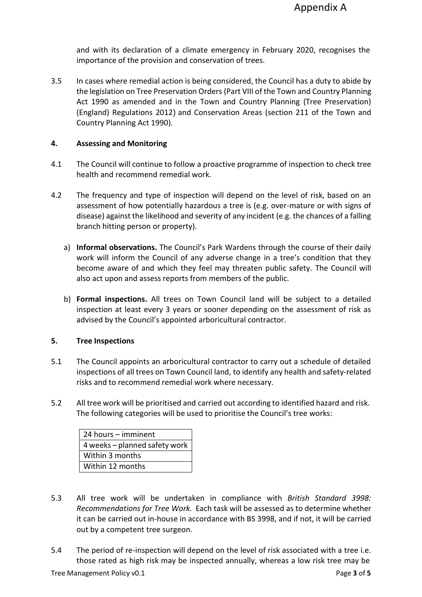and with its declaration of a climate emergency in February 2020, recognises the importance of the provision and conservation of trees.

3.5 In cases where remedial action is being considered, the Council has a duty to abide by the legislation on Tree Preservation Orders (Part VIII of the Town and Country [Planning](http://www.legislation.gov.uk/ukpga/1990/8/part/VIII) [Act 1990 a](http://www.legislation.gov.uk/ukpga/1990/8/part/VIII)s amended and in the [Town and Country Planning \(Tree Preservation\)](http://www.legislation.gov.uk/uksi/2012/605/contents/made) [\(England\) Regulations 2012](http://www.legislation.gov.uk/uksi/2012/605/contents/made)) and Conservation Areas [\(section 211 of the Town and](http://www.legislation.gov.uk/ukpga/1990/8/section/211) Country [Planning](http://www.legislation.gov.uk/ukpga/1990/8/section/211) Act 1990).

## **4. Assessing and Monitoring**

- 4.1 The Council will continue to follow a proactive programme of inspection to check tree health and recommend remedial work.
- 4.2 The frequency and type of inspection will depend on the level of risk, based on an assessment of how potentially hazardous a tree is (e.g. over-mature or with signs of disease) against the likelihood and severity of any incident (e.g. the chances of a falling branch hitting person or property).
	- a) **Informal observations.** The Council's Park Wardens through the course of their daily work will inform the Council of any adverse change in a tree's condition that they become aware of and which they feel may threaten public safety. The Council will also act upon and assess reports from members of the public.
	- b) **Formal inspections.** All trees on Town Council land will be subject to a detailed inspection at least every 3 years or sooner depending on the assessment of risk as advised by the Council's appointed arboricultural contractor.

# **5. Tree Inspections**

- 5.1 The Council appoints an arboricultural contractor to carry out a schedule of detailed inspections of all trees on Town Council land, to identify any health and safety-related risks and to recommend remedial work where necessary.
- 5.2 All tree work will be prioritised and carried out according to identified hazard and risk. The following categories will be used to prioritise the Council's tree works:

| 24 hours - imminent           |  |  |  |
|-------------------------------|--|--|--|
| 4 weeks - planned safety work |  |  |  |
| Within 3 months               |  |  |  |
| Within 12 months              |  |  |  |

- 5.3 All tree work will be undertaken in compliance with *British Standard 3998: Recommendations for Tree Work.* Each task will be assessed as to determine whether it can be carried out in-house in accordance with BS 3998, and if not, it will be carried out by a competent tree surgeon.
- 5.4 The period of re-inspection will depend on the level of risk associated with a tree i.e. those rated as high risk may be inspected annually, whereas a low risk tree may be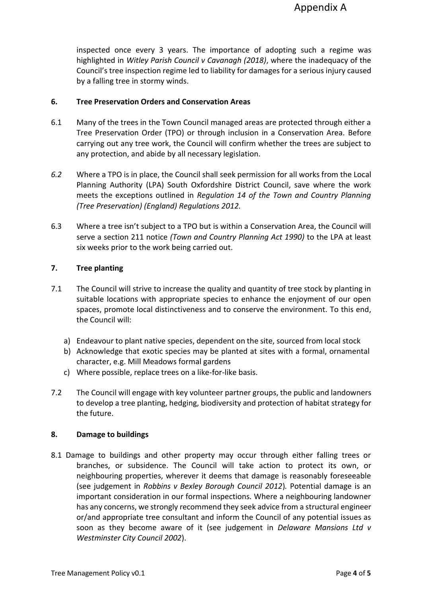inspected once every 3 years. The importance of adopting such a regime was highlighted in *Witley Parish Council v Cavanagh (2018)*, where the inadequacy of the Council's tree inspection regime led to liability for damages for a serious injury caused by a falling tree in stormy winds.

## **6. Tree Preservation Orders and Conservation Areas**

- 6.1 Many of the trees in the Town Council managed areas are protected through either a Tree Preservation Order (TPO) or through inclusion in a Conservation Area. Before carrying out any tree work, the Council will confirm whether the trees are subject to any protection, and abide by all necessary legislation.
- *6.2* Where a TPO is in place, the Council shall seek permission for all works from the Local Planning Authority (LPA) South Oxfordshire District Council, save where the work meets the exceptions outlined in *Regulation 14 of the Town and Country Planning (Tree Preservation) (England) Regulations 2012.*
- 6.3 Where a tree isn't subject to a TPO but is within a Conservation Area, the Council will serve a section 211 notice *(Town and Country Planning Act 1990)* to the LPA at least six weeks prior to the work being carried out.

# **7. Tree planting**

- 7.1 The Council will strive to increase the quality and quantity of tree stock by planting in suitable locations with appropriate species to enhance the enjoyment of our open spaces, promote local distinctiveness and to conserve the environment. To this end, the Council will:
	- a) Endeavour to plant native species, dependent on the site, sourced from local stock
	- b) Acknowledge that exotic species may be planted at sites with a formal, ornamental character, e.g. Mill Meadows formal gardens
	- c) Where possible, replace trees on a like-for-like basis.
- 7.2 The Council will engage with key volunteer partner groups, the public and landowners to develop a tree planting, hedging, biodiversity and protection of habitat strategy for the future.

## **8. Damage to buildings**

8.1 Damage to buildings and other property may occur through either falling trees or branches, or subsidence. The Council will take action to protect its own, or neighbouring properties, wherever it deems that damage is reasonably foreseeable (see judgement in *Robbins v Bexley Borough Council 2012*)*.* Potential damage is an important consideration in our formal inspections. Where a neighbouring landowner has any concerns, we strongly recommend they seek advice from a structural engineer or/and appropriate tree consultant and inform the Council of any potential issues as soon as they become aware of it (see judgement in *Delaware Mansions Ltd v Westminster City Council 2002*).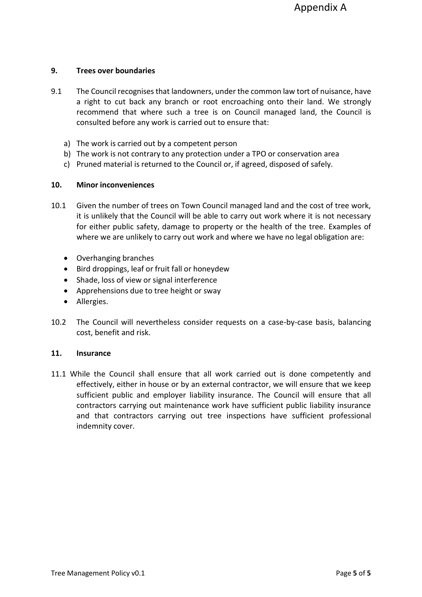# **9. Trees over boundaries**

- 9.1 The Council recognisesthat landowners, under the common law tort of nuisance, have a right to cut back any branch or root encroaching onto their land. We strongly recommend that where such a tree is on Council managed land, the Council is consulted before any work is carried out to ensure that:
	- a) The work is carried out by a competent person
	- b) The work is not contrary to any protection under a TPO or conservation area
	- c) Pruned material is returned to the Council or, if agreed, disposed of safely.

# **10. Minor inconveniences**

- 10.1 Given the number of trees on Town Council managed land and the cost of tree work, it is unlikely that the Council will be able to carry out work where it is not necessary for either public safety, damage to property or the health of the tree. Examples of where we are unlikely to carry out work and where we have no legal obligation are:
	- Overhanging branches
	- Bird droppings, leaf or fruit fall or honeydew
	- Shade, loss of view or signal interference
	- Apprehensions due to tree height or sway
	- Allergies.
- 10.2 The Council will nevertheless consider requests on a case-by-case basis, balancing cost, benefit and risk.

## **11. Insurance**

11.1 While the Council shall ensure that all work carried out is done competently and effectively, either in house or by an external contractor, we will ensure that we keep sufficient public and employer liability insurance. The Council will ensure that all contractors carrying out maintenance work have sufficient public liability insurance and that contractors carrying out tree inspections have sufficient professional indemnity cover.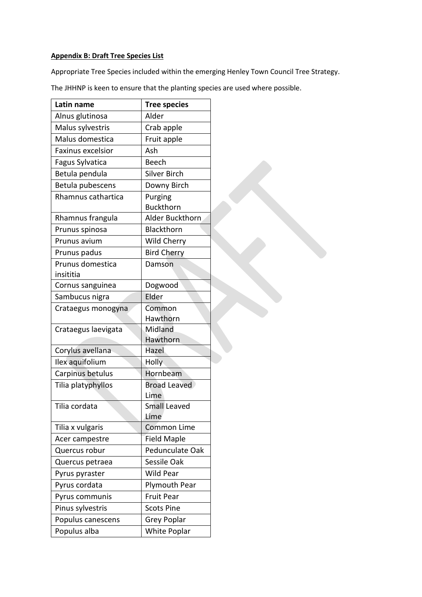#### **Appendix B: Draft Tree Species List**

Appropriate Tree Species included within the emerging Henley Town Council Tree Strategy.

The JHHNP is keen to ensure that the planting species are used where possible.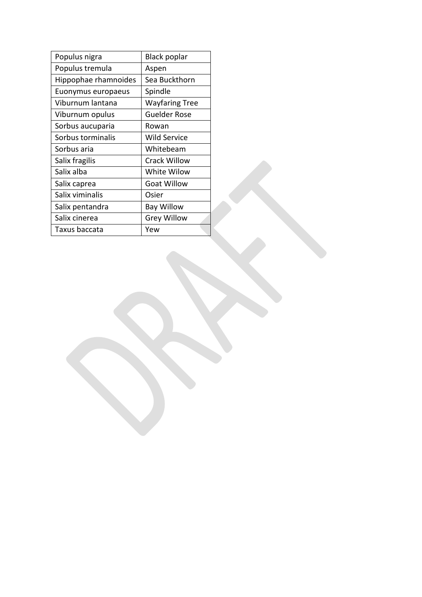| Populus nigra        | <b>Black poplar</b> |  |  |
|----------------------|---------------------|--|--|
| Populus tremula      | Aspen               |  |  |
| Hippophae rhamnoides | Sea Buckthorn       |  |  |
| Euonymus europaeus   | Spindle             |  |  |
| Viburnum lantana     | Wayfaring Tree      |  |  |
| Viburnum opulus      | <b>Guelder Rose</b> |  |  |
| Sorbus aucuparia     | Rowan               |  |  |
| Sorbus torminalis    | <b>Wild Service</b> |  |  |
| Sorbus aria          | Whitebeam           |  |  |
| Salix fragilis       | <b>Crack Willow</b> |  |  |
| Salix alba           | White Wilow         |  |  |
| Salix caprea         | <b>Goat Willow</b>  |  |  |
| Salix viminalis      | Osier               |  |  |
| Salix pentandra      | <b>Bay Willow</b>   |  |  |
| Salix cinerea        | <b>Grey Willow</b>  |  |  |
| Taxus baccata        | Yew                 |  |  |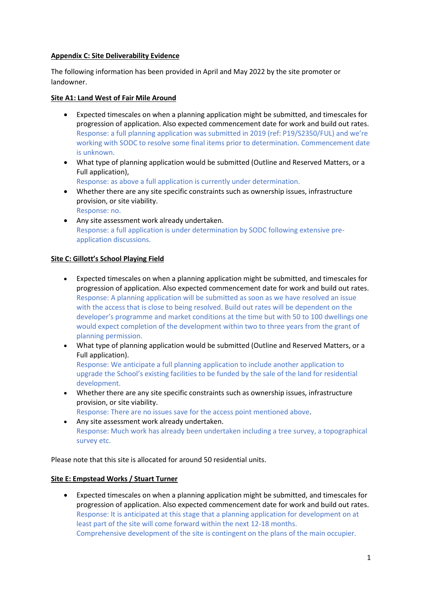### **Appendix C: Site Deliverability Evidence**

The following information has been provided in April and May 2022 by the site promoter or landowner.

### **Site A1: Land West of Fair Mile Around**

- Expected timescales on when a planning application might be submitted, and timescales for progression of application. Also expected commencement date for work and build out rates. Response: a full planning application was submitted in 2019 (ref: P19/S2350/FUL) and we're working with SODC to resolve some final items prior to determination. Commencement date is unknown.
- What type of planning application would be submitted (Outline and Reserved Matters, or a Full application),

Response: as above a full application is currently under determination.

- Whether there are any site specific constraints such as ownership issues, infrastructure provision, or site viability. Response: no.
- Any site assessment work already undertaken. Response: a full application is under determination by SODC following extensive preapplication discussions.

#### **Site C: Gillott's School Playing Field**

- Expected timescales on when a planning application might be submitted, and timescales for progression of application. Also expected commencement date for work and build out rates. Response: A planning application will be submitted as soon as we have resolved an issue with the access that is close to being resolved. Build out rates will be dependent on the developer's programme and market conditions at the time but with 50 to 100 dwellings one would expect completion of the development within two to three years from the grant of planning permission.
- What type of planning application would be submitted (Outline and Reserved Matters, or a Full application). Response: We anticipate a full planning application to include another application to upgrade the School's existing facilities to be funded by the sale of the land for residential
- development. • Whether there are any site specific constraints such as ownership issues, infrastructure provision, or site viability.

Response: There are no issues save for the access point mentioned above.

• Any site assessment work already undertaken. Response: Much work has already been undertaken including a tree survey, a topographical survey etc.

Please note that this site is allocated for around 50 residential units.

## **Site E: Empstead Works / Stuart Turner**

• Expected timescales on when a planning application might be submitted, and timescales for progression of application. Also expected commencement date for work and build out rates. Response: It is anticipated at this stage that a planning application for development on at least part of the site will come forward within the next 12-18 months. Comprehensive development of the site is contingent on the plans of the main occupier.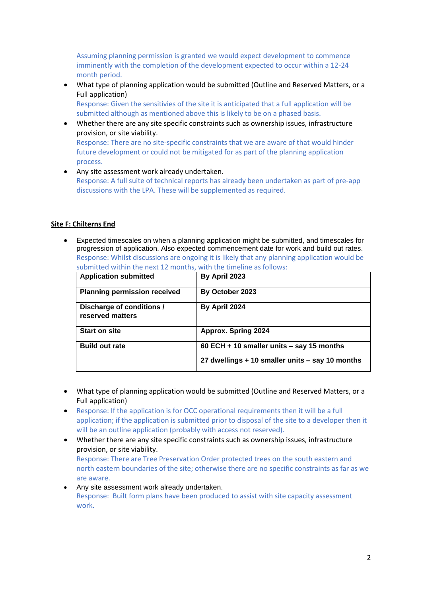Assuming planning permission is granted we would expect development to commence imminently with the completion of the development expected to occur within a 12-24 month period.

• What type of planning application would be submitted (Outline and Reserved Matters, or a Full application)

Response: Given the sensitivies of the site it is anticipated that a full application will be submitted although as mentioned above this is likely to be on a phased basis.

- Whether there are any site specific constraints such as ownership issues, infrastructure provision, or site viability. Response: There are no site-specific constraints that we are aware of that would hinder future development or could not be mitigated for as part of the planning application process.
- Any site assessment work already undertaken. Response: A full suite of technical reports has already been undertaken as part of pre-app discussions with the LPA. These will be supplemented as required.

#### **Site F: Chilterns End**

• Expected timescales on when a planning application might be submitted, and timescales for progression of application. Also expected commencement date for work and build out rates. Response: Whilst discussions are ongoing it is likely that any planning application would be submitted within the next 12 months, with the timeline as follows:

| <b>Application submitted</b>                  | By April 2023                                                                                |
|-----------------------------------------------|----------------------------------------------------------------------------------------------|
| <b>Planning permission received</b>           | By October 2023                                                                              |
| Discharge of conditions /<br>reserved matters | By April 2024                                                                                |
| <b>Start on site</b>                          | <b>Approx. Spring 2024</b>                                                                   |
| <b>Build out rate</b>                         | 60 ECH + 10 smaller units - say 15 months<br>27 dwellings + 10 smaller units - say 10 months |

- What type of planning application would be submitted (Outline and Reserved Matters, or a Full application)
- Response: If the application is for OCC operational requirements then it will be a full application; if the application is submitted prior to disposal of the site to a developer then it will be an outline application (probably with access not reserved).
- Whether there are any site specific constraints such as ownership issues, infrastructure provision, or site viability. Response: There are Tree Preservation Order protected trees on the south eastern and north eastern boundaries of the site; otherwise there are no specific constraints as far as we are aware.
- Any site assessment work already undertaken. Response: Built form plans have been produced to assist with site capacity assessment work.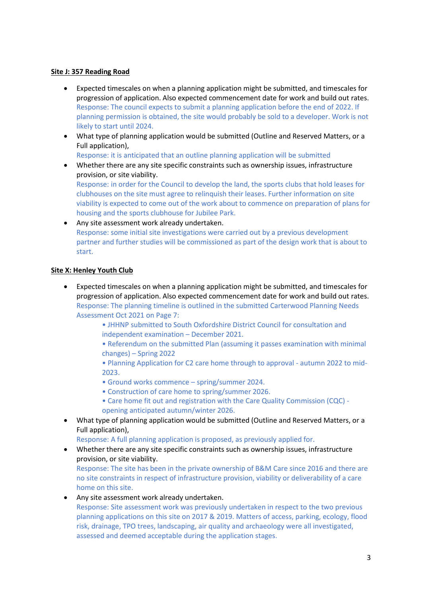#### **Site J: 357 Reading Road**

- Expected timescales on when a planning application might be submitted, and timescales for progression of application. Also expected commencement date for work and build out rates. Response: The council expects to submit a planning application before the end of 2022. If planning permission is obtained, the site would probably be sold to a developer. Work is not likely to start until 2024.
- What type of planning application would be submitted (Outline and Reserved Matters, or a Full application),

Response: it is anticipated that an outline planning application will be submitted

• Whether there are any site specific constraints such as ownership issues, infrastructure provision, or site viability.

Response: in order for the Council to develop the land, the sports clubs that hold leases for clubhouses on the site must agree to relinquish their leases. Further information on site viability is expected to come out of the work about to commence on preparation of plans for housing and the sports clubhouse for Jubilee Park.

• Any site assessment work already undertaken. Response: some initial site investigations were carried out by a previous development partner and further studies will be commissioned as part of the design work that is about to start.

#### **Site X: Henley Youth Club**

• Expected timescales on when a planning application might be submitted, and timescales for progression of application. Also expected commencement date for work and build out rates. Response: The planning timeline is outlined in the submitted Carterwood Planning Needs Assessment Oct 2021 on Page 7:

> • JHHNP submitted to South Oxfordshire District Council for consultation and independent examination – December 2021.

• Referendum on the submitted Plan (assuming it passes examination with minimal changes) – Spring 2022

• Planning Application for C2 care home through to approval - autumn 2022 to mid-2023.

- Ground works commence spring/summer 2024.
- Construction of care home to spring/summer 2026.
- Care home fit out and registration with the Care Quality Commission (CQC) opening anticipated autumn/winter 2026.
- What type of planning application would be submitted (Outline and Reserved Matters, or a Full application),

Response: A full planning application is proposed, as previously applied for.

• Whether there are any site specific constraints such as ownership issues, infrastructure provision, or site viability.

Response: The site has been in the private ownership of B&M Care since 2016 and there are no site constraints in respect of infrastructure provision, viability or deliverability of a care home on this site.

• Any site assessment work already undertaken. Response: Site assessment work was previously undertaken in respect to the two previous planning applications on this site on 2017 & 2019. Matters of access, parking, ecology, flood risk, drainage, TPO trees, landscaping, air quality and archaeology were all investigated, assessed and deemed acceptable during the application stages.